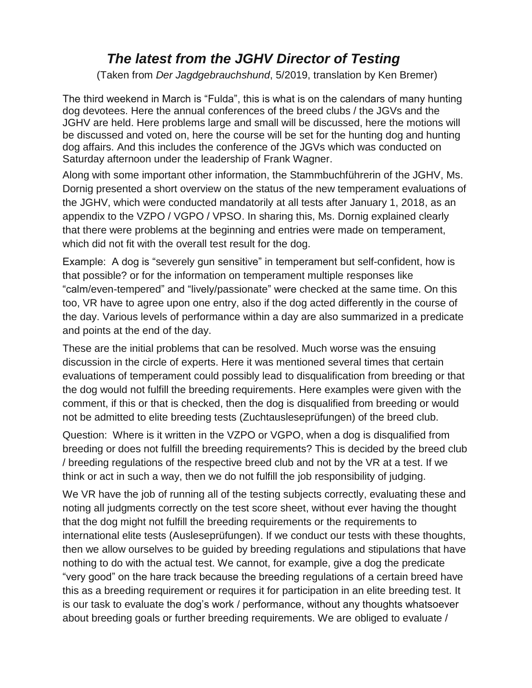## *The latest from the JGHV Director of Testing*

(Taken from *Der Jagdgebrauchshund*, 5/2019, translation by Ken Bremer)

The third weekend in March is "Fulda", this is what is on the calendars of many hunting dog devotees. Here the annual conferences of the breed clubs / the JGVs and the JGHV are held. Here problems large and small will be discussed, here the motions will be discussed and voted on, here the course will be set for the hunting dog and hunting dog affairs. And this includes the conference of the JGVs which was conducted on Saturday afternoon under the leadership of Frank Wagner.

Along with some important other information, the Stammbuchführerin of the JGHV, Ms. Dornig presented a short overview on the status of the new temperament evaluations of the JGHV, which were conducted mandatorily at all tests after January 1, 2018, as an appendix to the VZPO / VGPO / VPSO. In sharing this, Ms. Dornig explained clearly that there were problems at the beginning and entries were made on temperament, which did not fit with the overall test result for the dog.

Example: A dog is "severely gun sensitive" in temperament but self-confident, how is that possible? or for the information on temperament multiple responses like "calm/even-tempered" and "lively/passionate" were checked at the same time. On this too, VR have to agree upon one entry, also if the dog acted differently in the course of the day. Various levels of performance within a day are also summarized in a predicate and points at the end of the day.

These are the initial problems that can be resolved. Much worse was the ensuing discussion in the circle of experts. Here it was mentioned several times that certain evaluations of temperament could possibly lead to disqualification from breeding or that the dog would not fulfill the breeding requirements. Here examples were given with the comment, if this or that is checked, then the dog is disqualified from breeding or would not be admitted to elite breeding tests (Zuchtausleseprüfungen) of the breed club.

Question: Where is it written in the VZPO or VGPO, when a dog is disqualified from breeding or does not fulfill the breeding requirements? This is decided by the breed club / breeding regulations of the respective breed club and not by the VR at a test. If we think or act in such a way, then we do not fulfill the job responsibility of judging.

We VR have the job of running all of the testing subjects correctly, evaluating these and noting all judgments correctly on the test score sheet, without ever having the thought that the dog might not fulfill the breeding requirements or the requirements to international elite tests (Ausleseprüfungen). If we conduct our tests with these thoughts, then we allow ourselves to be guided by breeding regulations and stipulations that have nothing to do with the actual test. We cannot, for example, give a dog the predicate "very good" on the hare track because the breeding regulations of a certain breed have this as a breeding requirement or requires it for participation in an elite breeding test. It is our task to evaluate the dog's work / performance, without any thoughts whatsoever about breeding goals or further breeding requirements. We are obliged to evaluate /